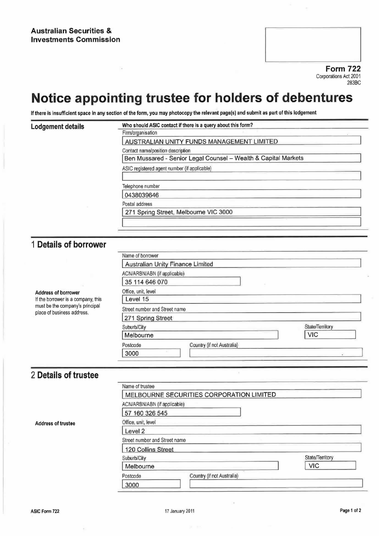Form 722 Corporations Act 2001 283BC

## Notice appointing trustee for holders of debentures

If there is insufficient space in any section of the form, you may photocopy the relevant page(s) and submit as part of this lodgement

| <b>Lodgement details</b>                                                                            | Who should ASIC contact if there is a query about this form?                                        |                  |  |                                              |  |  |
|-----------------------------------------------------------------------------------------------------|-----------------------------------------------------------------------------------------------------|------------------|--|----------------------------------------------|--|--|
|                                                                                                     | Firm/organisation<br>AUSTRALIAN UNITY FUNDS MANAGEMENT LIMITED                                      |                  |  |                                              |  |  |
|                                                                                                     | Contact name/position description<br>Ben Mussared - Senior Legal Counsel - Wealth & Capital Markets |                  |  |                                              |  |  |
|                                                                                                     |                                                                                                     |                  |  | ASIC registered agent number (if applicable) |  |  |
|                                                                                                     |                                                                                                     |                  |  |                                              |  |  |
|                                                                                                     | Telephone number                                                                                    |                  |  |                                              |  |  |
|                                                                                                     | 0438039646                                                                                          |                  |  |                                              |  |  |
|                                                                                                     | Postal address<br>271 Spring Street, Melbourne VIC 3000                                             |                  |  |                                              |  |  |
|                                                                                                     |                                                                                                     |                  |  |                                              |  |  |
|                                                                                                     |                                                                                                     |                  |  |                                              |  |  |
|                                                                                                     | 1 Details of borrower                                                                               |                  |  |                                              |  |  |
|                                                                                                     |                                                                                                     | Name of borrower |  |                                              |  |  |
|                                                                                                     | Australian Unity Finance Limited                                                                    |                  |  |                                              |  |  |
|                                                                                                     | ACN/ARBN/ABN (if applicable)                                                                        |                  |  |                                              |  |  |
|                                                                                                     | 35 114 646 070                                                                                      |                  |  |                                              |  |  |
| <b>Address of borrower</b>                                                                          | Office, unit, level                                                                                 |                  |  |                                              |  |  |
| If the borrower is a company, this<br>must be the company's principal<br>place of business address. | Level 15                                                                                            |                  |  |                                              |  |  |
|                                                                                                     | Street number and Street name                                                                       |                  |  |                                              |  |  |
|                                                                                                     | 271 Spring Street                                                                                   |                  |  |                                              |  |  |
|                                                                                                     | Suburb/City                                                                                         | State/Territory  |  |                                              |  |  |
|                                                                                                     | Melbourne                                                                                           | <b>VIC</b>       |  |                                              |  |  |
|                                                                                                     | Country (if not Australia)<br>Postcode                                                              |                  |  |                                              |  |  |
|                                                                                                     | 3000                                                                                                |                  |  |                                              |  |  |
|                                                                                                     |                                                                                                     |                  |  |                                              |  |  |
|                                                                                                     |                                                                                                     |                  |  |                                              |  |  |
| 2 Details of trustee                                                                                |                                                                                                     |                  |  |                                              |  |  |
|                                                                                                     | Name of trustee                                                                                     |                  |  |                                              |  |  |
|                                                                                                     | MELBOURNE SECURITIES CORPORATION LIMITED                                                            |                  |  |                                              |  |  |
|                                                                                                     | ACN/ARBN/ABN (if applicable)                                                                        |                  |  |                                              |  |  |
|                                                                                                     | 57 160 326 545                                                                                      |                  |  |                                              |  |  |
| <b>Address of trustee</b>                                                                           | Office, unit, level                                                                                 |                  |  |                                              |  |  |
|                                                                                                     | Level 2                                                                                             |                  |  |                                              |  |  |
|                                                                                                     | Street number and Street name                                                                       |                  |  |                                              |  |  |
|                                                                                                     | 120 Collins Street                                                                                  |                  |  |                                              |  |  |
|                                                                                                     | Suburb/City                                                                                         | State/Territory  |  |                                              |  |  |
|                                                                                                     | Melbourne                                                                                           | <b>VIC</b>       |  |                                              |  |  |
|                                                                                                     | Country (if not Australia)<br>Postcode                                                              |                  |  |                                              |  |  |

3000